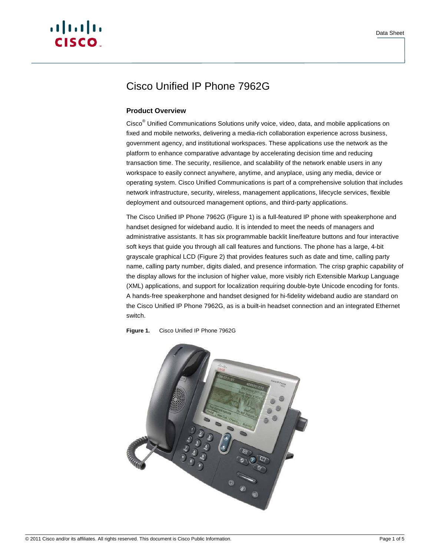# $\cdot$ l $\cdot$ ili $\cdot$ **CISCO**

## Cisco Unified IP Phone 7962G

### **Product Overview**

Cisco<sup>®</sup> Unified Communications Solutions unify voice, video, data, and mobile applications on fixed and mobile networks, delivering a media-rich collaboration experience across business, government agency, and institutional workspaces. These applications use the network as the platform to enhance comparative advantage by accelerating decision time and reducing transaction time. The security, resilience, and scalability of the network enable users in any workspace to easily connect anywhere, anytime, and anyplace, using any media, device or operating system. Cisco Unified Communications is part of a comprehensive solution that includes network infrastructure, security, wireless, management applications, lifecycle services, flexible deployment and outsourced management options, and third-party applications.

The Cisco Unified IP Phone 7962G (Figure 1) is a full-featured IP phone with speakerphone and handset designed for wideband audio. It is intended to meet the needs of managers and administrative assistants. It has six programmable backlit line/feature buttons and four interactive soft keys that guide you through all call features and functions. The phone has a large, 4-bit grayscale graphical LCD (Figure 2) that provides features such as date and time, calling party name, calling party number, digits dialed, and presence information. The crisp graphic capability of the display allows for the inclusion of higher value, more visibly rich Extensible Markup Language (XML) applications, and support for localization requiring double-byte Unicode encoding for fonts. A hands-free speakerphone and handset designed for hi-fidelity wideband audio are standard on the Cisco Unified IP Phone 7962G, as is a built-in headset connection and an integrated Ethernet switch.



**Figure 1.** Cisco Unified IP Phone 7962G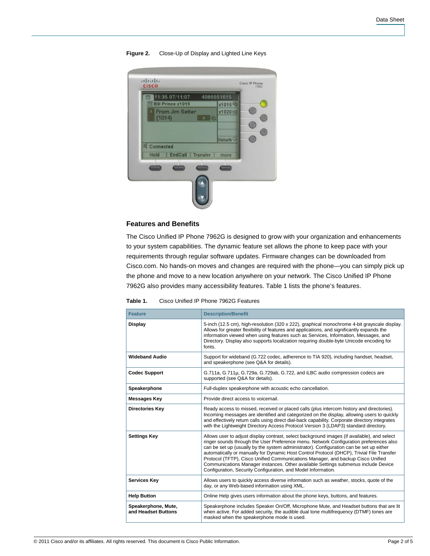| 11:35 07/11/07<br>宗                                           | 4085551015                         |
|---------------------------------------------------------------|------------------------------------|
| 云 Bill Prince x1015<br><b>From Jim Setter</b><br>Ŧ.<br>(1014) | x1015%<br>x1020<br>$5\frac{6}{12}$ |
| Connected                                                     | Disturb <sup>O</sup>               |
| <b>EndCall</b><br>Hold                                        | Transfer<br>more                   |

#### **Figure 2.** Close-Up of Display and Lighted Line Keys

#### **Features and Benefits**

The Cisco Unified IP Phone 7962G is designed to grow with your organization and enhancements to your system capabilities. The dynamic feature set allows the phone to keep pace with your requirements through regular software updates. Firmware changes can be downloaded from Cisco.com. No hands-on moves and changes are required with the phone—you can simply pick up the phone and move to a new location anywhere on your network. The Cisco Unified IP Phone 7962G also provides many accessibility features. Table 1 lists the phone's features.

**Table 1.** Cisco Unified IP Phone 7962G Features

| <b>Feature</b>                             | <b>Description/Benefit</b>                                                                                                                                                                                                                                                                                                                                                                                                                                                                                                                                                                                              |
|--------------------------------------------|-------------------------------------------------------------------------------------------------------------------------------------------------------------------------------------------------------------------------------------------------------------------------------------------------------------------------------------------------------------------------------------------------------------------------------------------------------------------------------------------------------------------------------------------------------------------------------------------------------------------------|
| <b>Display</b>                             | 5-inch (12.5 cm), high-resolution (320 x 222), graphical monochrome 4-bit grayscale display.<br>Allows for greater flexibility of features and applications, and significantly expands the<br>information viewed when using features such as Services, Information, Messages, and<br>Directory. Display also supports localization requiring double-byte Unicode encoding for<br>fonts.                                                                                                                                                                                                                                 |
| <b>Wideband Audio</b>                      | Support for wideband (G.722 codec, adherence to TIA 920), including handset, headset,<br>and speakerphone (see Q&A for details).                                                                                                                                                                                                                                                                                                                                                                                                                                                                                        |
| <b>Codec Support</b>                       | G.711a, G.711µ, G.729a, G.729ab, G.722, and iLBC audio compression codecs are<br>supported (see Q&A for details).                                                                                                                                                                                                                                                                                                                                                                                                                                                                                                       |
| Speakerphone                               | Full-duplex speakerphone with acoustic echo cancellation.                                                                                                                                                                                                                                                                                                                                                                                                                                                                                                                                                               |
| <b>Messages Key</b>                        | Provide direct access to voicemail.                                                                                                                                                                                                                                                                                                                                                                                                                                                                                                                                                                                     |
| <b>Directories Key</b>                     | Ready access to missed, received or placed calls (plus intercom history and directories).<br>Incoming messages are identified and categorized on the display, allowing users to quickly<br>and effectively return calls using direct dial-back capability. Corporate directory integrates<br>with the Lightweight Directory Access Protocol Version 3 (LDAP3) standard directory.                                                                                                                                                                                                                                       |
| <b>Settings Key</b>                        | Allows user to adjust display contrast, select background images (if available), and select<br>ringer sounds through the User Preference menu. Network Configuration preferences also<br>can be set up (usually by the system administrator). Configuration can be set up either<br>automatically or manually for Dynamic Host Control Protocol (DHCP), Trivial File Transfer<br>Protocol (TFTP), Cisco Unified Communications Manager, and backup Cisco Unified<br>Communications Manager instances. Other available Settings submenus include Device<br>Configuration, Security Configuration, and Model Information. |
| Services Key                               | Allows users to quickly access diverse information such as weather, stocks, quote of the<br>day, or any Web-based information using XML.                                                                                                                                                                                                                                                                                                                                                                                                                                                                                |
| <b>Help Button</b>                         | Online Help gives users information about the phone keys, buttons, and features.                                                                                                                                                                                                                                                                                                                                                                                                                                                                                                                                        |
| Speakerphone, Mute,<br>and Headset Buttons | Speakerphone includes Speaker On/Off, Microphone Mute, and Headset buttons that are lit<br>when active. For added security, the audible dual tone multifrequency (DTMF) tones are<br>masked when the speakerphone mode is used.                                                                                                                                                                                                                                                                                                                                                                                         |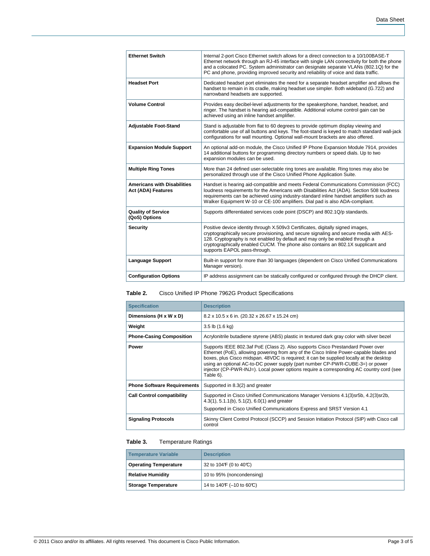| <b>Ethernet Switch</b><br>Internal 2-port Cisco Ethernet switch allows for a direct connection to a 10/100BASE-T<br>Ethernet network through an RJ-45 interface with single LAN connectivity for both the phone<br>and a colocated PC. System administrator can designate separate VLANs (802.1Q) for the<br>PC and phone, providing improved security and reliability of voice and data traffic.<br><b>Headset Port</b><br>Dedicated headset port eliminates the need for a separate headset amplifier and allows the<br>handset to remain in its cradle, making headset use simpler. Both wideband (G.722) and<br>narrowband headsets are supported.<br><b>Volume Control</b><br>Provides easy decibel-level adjustments for the speakerphone, handset, headset, and<br>ringer. The handset is hearing aid-compatible. Additional volume control gain can be<br>achieved using an inline handset amplifier.<br><b>Adjustable Foot-Stand</b><br>Stand is adjustable from flat to 60 degrees to provide optimum display viewing and<br>comfortable use of all buttons and keys. The foot-stand is keyed to match standard wall-jack<br>configurations for wall mounting. Optional wall-mount brackets are also offered.<br><b>Expansion Module Support</b><br>An optional add-on module, the Cisco Unified IP Phone Expansion Module 7914, provides<br>14 additional buttons for programming directory numbers or speed dials. Up to two<br>expansion modules can be used.<br><b>Multiple Ring Tones</b><br>More than 24 defined user-selectable ring tones are available. Ring tones may also be<br>personalized through use of the Cisco Unified Phone Application Suite.<br><b>Americans with Disabilities</b><br>Handset is hearing aid-compatible and meets Federal Communications Commission (FCC)<br>loudness requirements for the Americans with Disabilities Act (ADA). Section 508 loudness<br><b>Act (ADA) Features</b><br>requirements can be achieved using industry-standard inline handset amplifiers such as<br>Walker Equipment W-10 or CE-100 amplifiers. Dial pad is also ADA-compliant.<br><b>Quality of Service</b><br>Supports differentiated services code point (DSCP) and 802.1Q/p standards.<br>(QoS) Options<br>Positive device identity through X.509v3 Certificates, digitally signed images,<br><b>Security</b><br>cryptographically secure provisioning, and secure signaling and secure media with AES-<br>128. Cryptography is not enabled by default and may only be enabled through a<br>cryptographically enabled CUCM. The phone also contains an 802.1X supplicant and<br>supports EAPOL pass-through.<br><b>Language Support</b><br>Built-in support for more than 30 languages (dependent on Cisco Unified Communications<br>Manager version).<br><b>Configuration Options</b><br>IP address assignment can be statically configured or configured through the DHCP client. |  |
|---------------------------------------------------------------------------------------------------------------------------------------------------------------------------------------------------------------------------------------------------------------------------------------------------------------------------------------------------------------------------------------------------------------------------------------------------------------------------------------------------------------------------------------------------------------------------------------------------------------------------------------------------------------------------------------------------------------------------------------------------------------------------------------------------------------------------------------------------------------------------------------------------------------------------------------------------------------------------------------------------------------------------------------------------------------------------------------------------------------------------------------------------------------------------------------------------------------------------------------------------------------------------------------------------------------------------------------------------------------------------------------------------------------------------------------------------------------------------------------------------------------------------------------------------------------------------------------------------------------------------------------------------------------------------------------------------------------------------------------------------------------------------------------------------------------------------------------------------------------------------------------------------------------------------------------------------------------------------------------------------------------------------------------------------------------------------------------------------------------------------------------------------------------------------------------------------------------------------------------------------------------------------------------------------------------------------------------------------------------------------------------------------------------------------------------------------------------------------------------------------------------------------------------------------------------------------------------------------------------------------------------------------------------------------------------------------------------------------------------------------------------------------------------------------------------------------------------------------------------------------------------------------------------------|--|
|                                                                                                                                                                                                                                                                                                                                                                                                                                                                                                                                                                                                                                                                                                                                                                                                                                                                                                                                                                                                                                                                                                                                                                                                                                                                                                                                                                                                                                                                                                                                                                                                                                                                                                                                                                                                                                                                                                                                                                                                                                                                                                                                                                                                                                                                                                                                                                                                                                                                                                                                                                                                                                                                                                                                                                                                                                                                                                                     |  |
|                                                                                                                                                                                                                                                                                                                                                                                                                                                                                                                                                                                                                                                                                                                                                                                                                                                                                                                                                                                                                                                                                                                                                                                                                                                                                                                                                                                                                                                                                                                                                                                                                                                                                                                                                                                                                                                                                                                                                                                                                                                                                                                                                                                                                                                                                                                                                                                                                                                                                                                                                                                                                                                                                                                                                                                                                                                                                                                     |  |
|                                                                                                                                                                                                                                                                                                                                                                                                                                                                                                                                                                                                                                                                                                                                                                                                                                                                                                                                                                                                                                                                                                                                                                                                                                                                                                                                                                                                                                                                                                                                                                                                                                                                                                                                                                                                                                                                                                                                                                                                                                                                                                                                                                                                                                                                                                                                                                                                                                                                                                                                                                                                                                                                                                                                                                                                                                                                                                                     |  |
|                                                                                                                                                                                                                                                                                                                                                                                                                                                                                                                                                                                                                                                                                                                                                                                                                                                                                                                                                                                                                                                                                                                                                                                                                                                                                                                                                                                                                                                                                                                                                                                                                                                                                                                                                                                                                                                                                                                                                                                                                                                                                                                                                                                                                                                                                                                                                                                                                                                                                                                                                                                                                                                                                                                                                                                                                                                                                                                     |  |
|                                                                                                                                                                                                                                                                                                                                                                                                                                                                                                                                                                                                                                                                                                                                                                                                                                                                                                                                                                                                                                                                                                                                                                                                                                                                                                                                                                                                                                                                                                                                                                                                                                                                                                                                                                                                                                                                                                                                                                                                                                                                                                                                                                                                                                                                                                                                                                                                                                                                                                                                                                                                                                                                                                                                                                                                                                                                                                                     |  |
|                                                                                                                                                                                                                                                                                                                                                                                                                                                                                                                                                                                                                                                                                                                                                                                                                                                                                                                                                                                                                                                                                                                                                                                                                                                                                                                                                                                                                                                                                                                                                                                                                                                                                                                                                                                                                                                                                                                                                                                                                                                                                                                                                                                                                                                                                                                                                                                                                                                                                                                                                                                                                                                                                                                                                                                                                                                                                                                     |  |
|                                                                                                                                                                                                                                                                                                                                                                                                                                                                                                                                                                                                                                                                                                                                                                                                                                                                                                                                                                                                                                                                                                                                                                                                                                                                                                                                                                                                                                                                                                                                                                                                                                                                                                                                                                                                                                                                                                                                                                                                                                                                                                                                                                                                                                                                                                                                                                                                                                                                                                                                                                                                                                                                                                                                                                                                                                                                                                                     |  |
|                                                                                                                                                                                                                                                                                                                                                                                                                                                                                                                                                                                                                                                                                                                                                                                                                                                                                                                                                                                                                                                                                                                                                                                                                                                                                                                                                                                                                                                                                                                                                                                                                                                                                                                                                                                                                                                                                                                                                                                                                                                                                                                                                                                                                                                                                                                                                                                                                                                                                                                                                                                                                                                                                                                                                                                                                                                                                                                     |  |
|                                                                                                                                                                                                                                                                                                                                                                                                                                                                                                                                                                                                                                                                                                                                                                                                                                                                                                                                                                                                                                                                                                                                                                                                                                                                                                                                                                                                                                                                                                                                                                                                                                                                                                                                                                                                                                                                                                                                                                                                                                                                                                                                                                                                                                                                                                                                                                                                                                                                                                                                                                                                                                                                                                                                                                                                                                                                                                                     |  |
|                                                                                                                                                                                                                                                                                                                                                                                                                                                                                                                                                                                                                                                                                                                                                                                                                                                                                                                                                                                                                                                                                                                                                                                                                                                                                                                                                                                                                                                                                                                                                                                                                                                                                                                                                                                                                                                                                                                                                                                                                                                                                                                                                                                                                                                                                                                                                                                                                                                                                                                                                                                                                                                                                                                                                                                                                                                                                                                     |  |
|                                                                                                                                                                                                                                                                                                                                                                                                                                                                                                                                                                                                                                                                                                                                                                                                                                                                                                                                                                                                                                                                                                                                                                                                                                                                                                                                                                                                                                                                                                                                                                                                                                                                                                                                                                                                                                                                                                                                                                                                                                                                                                                                                                                                                                                                                                                                                                                                                                                                                                                                                                                                                                                                                                                                                                                                                                                                                                                     |  |

#### **Table 2.** Cisco Unified IP Phone 7962G Product Specifications

| <b>Specification</b>               | <b>Description</b>                                                                                                                                                                                                                                                                                                                                                                                                                                              |
|------------------------------------|-----------------------------------------------------------------------------------------------------------------------------------------------------------------------------------------------------------------------------------------------------------------------------------------------------------------------------------------------------------------------------------------------------------------------------------------------------------------|
| Dimensions (H x W x D)             | 8.2 x 10.5 x 6 in. (20.32 x 26.67 x 15.24 cm)                                                                                                                                                                                                                                                                                                                                                                                                                   |
| Weight                             | $3.5$ lb $(1.6$ kg)                                                                                                                                                                                                                                                                                                                                                                                                                                             |
| <b>Phone-Casing Composition</b>    | Acrylonitrile butadiene styrene (ABS) plastic in textured dark gray color with silver bezel                                                                                                                                                                                                                                                                                                                                                                     |
| <b>Power</b>                       | Supports IEEE 802.3af PoE (Class 2). Also supports Cisco Prestandard Power over<br>Ethernet (PoE), allowing powering from any of the Cisco Inline Power-capable blades and<br>boxes, plus Cisco midspan. 48VDC is required; it can be supplied locally at the desktop<br>using an optional AC-to-DC power supply (part number CP-PWR-CUBE-3=) or power<br>injector (CP-PWR-INJ=). Local power options require a corresponding AC country cord (see<br>Table 6). |
| <b>Phone Software Requirements</b> | Supported in 8.3(2) and greater                                                                                                                                                                                                                                                                                                                                                                                                                                 |
| <b>Call Control compatibility</b>  | Supported in Cisco Unified Communications Manager Versions 4.1(3) sr5b, 4.2(3) sr2b,<br>$4.3(1), 5.1.1(b), 5.1(2), 6.0(1)$ and greater<br>Supported in Cisco Unified Communications Express and SRST Version 4.1                                                                                                                                                                                                                                                |
| <b>Signaling Protocols</b>         | Skinny Client Control Protocol (SCCP) and Session Initiation Protocol (SIP) with Cisco call<br>control                                                                                                                                                                                                                                                                                                                                                          |

#### **Table 3.** Temperature Ratings

| Temperature Variable         | <b>Description</b>         |
|------------------------------|----------------------------|
| <b>Operating Temperature</b> | 32 to 104 F (0 to 40 °C)   |
| <b>Relative Humidity</b>     | 10 to 95% (noncondensing)  |
| <b>Storage Temperature</b>   | 14 to 140 F (-10 to 60 °C) |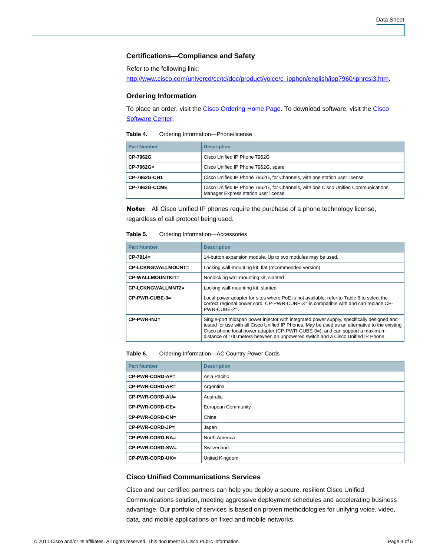#### **Certifications—Compliance and Safety**

Refer to the following link:

[http://www.cisco.com/univercd/cc/td/doc/product/voice/c\\_ipphon/english/ipp7960/iphrcsi3.htm.](http://www.cisco.com/univercd/cc/td/doc/product/voice/c_ipphon/english/ipp7960/iphrcsi3.htm)

#### **Ordering Information**

To place an order, visit the [Cisco Ordering Home Page.](http://www.cisco.com/web/ordering/or13/or8/order_customer_help_how_to_order_listing.html) To download software, visit the [Cisco](http://www.cisco.com/public/sw-center/)  **[Software Center](http://www.cisco.com/public/sw-center/).** 

| Table 4. | Ordering Information-Phone/license |
|----------|------------------------------------|
|----------|------------------------------------|

| <b>Part Number</b>   | <b>Description</b>                                                                                                        |
|----------------------|---------------------------------------------------------------------------------------------------------------------------|
| CP-7962G             | Cisco Unified IP Phone 7962G                                                                                              |
| CP-7962G=            | Cisco Unified IP Phone 7962G, spare                                                                                       |
| CP-7962G-CH1         | Cisco Unified IP Phone 7962G, for Channels, with one station user license                                                 |
| <b>CP-7962G-CCME</b> | Cisco Unified IP Phone 7962G, for Channels, with one Cisco Unified Communications<br>Manager Express station user license |

Note: All Cisco Unified IP phones require the purchase of a phone technology license, regardless of call protocol being used.

#### **Table 5.** Ordering Information—Accessories

| <b>Part Number</b>        | <b>Description</b>                                                                                                                                                                                                                                                                                                                                              |
|---------------------------|-----------------------------------------------------------------------------------------------------------------------------------------------------------------------------------------------------------------------------------------------------------------------------------------------------------------------------------------------------------------|
| $CP-7914=$                | 14-button expansion module. Up to two modules may be used.                                                                                                                                                                                                                                                                                                      |
| <b>CP-LCKNGWALLMOUNT=</b> | Locking wall-mounting kit, flat (recommended version)                                                                                                                                                                                                                                                                                                           |
| CP-WALLMOUNTKIT=          | Nonlocking wall-mounting kit, slanted                                                                                                                                                                                                                                                                                                                           |
| CP-LCKNGWALLMNT2=         | Locking wall-mounting kit, slanted                                                                                                                                                                                                                                                                                                                              |
| $CP-PWR-CUBE-3=$          | Local power adapter for sites where PoE is not available; refer to Table 6 to select the<br>correct regional power cord. CP-PWR-CUBE-3= is compatible with and can replace CP-<br>$PWR$ -CUBE-2=.                                                                                                                                                               |
| $CP-PWR-INJ=$             | Single-port midspan power injector with integrated power supply, specifically designed and<br>tested for use with all Cisco Unified IP Phones. May be used as an alternative to the existing<br>Cisco phone local power adapter (CP-PWR-CUBE-3=), and can support a maximum<br>distance of 100 meters between an unpowered switch and a Cisco Unified IP Phone. |

| Table 6. | Ordering Information-AC Country Power Cords |  |
|----------|---------------------------------------------|--|
|----------|---------------------------------------------|--|

| <b>Part Number</b> | <b>Description</b>        |
|--------------------|---------------------------|
| CP-PWR-CORD-AP=    | Asia Pacific              |
| CP-PWR-CORD-AR=    | Argentina                 |
| CP-PWR-CORD-AU=    | Australia                 |
| CP-PWR-CORD-CE=    | <b>European Community</b> |
| CP-PWR-CORD-CN=    | China                     |
| CP-PWR-CORD-JP=    | Japan                     |
| CP-PWR-CORD-NA=    | North America             |
| CP-PWR-CORD-SW=    | Switzerland               |
| CP-PWR-CORD-UK=    | United Kingdom            |

#### **Cisco Unified Communications Services**

Cisco and our certified partners can help you deploy a secure, resilient Cisco Unified Communications solution, meeting aggressive deployment schedules and accelerating business advantage. Our portfolio of services is based on proven methodologies for unifying voice, video, data, and mobile applications on fixed and mobile networks.